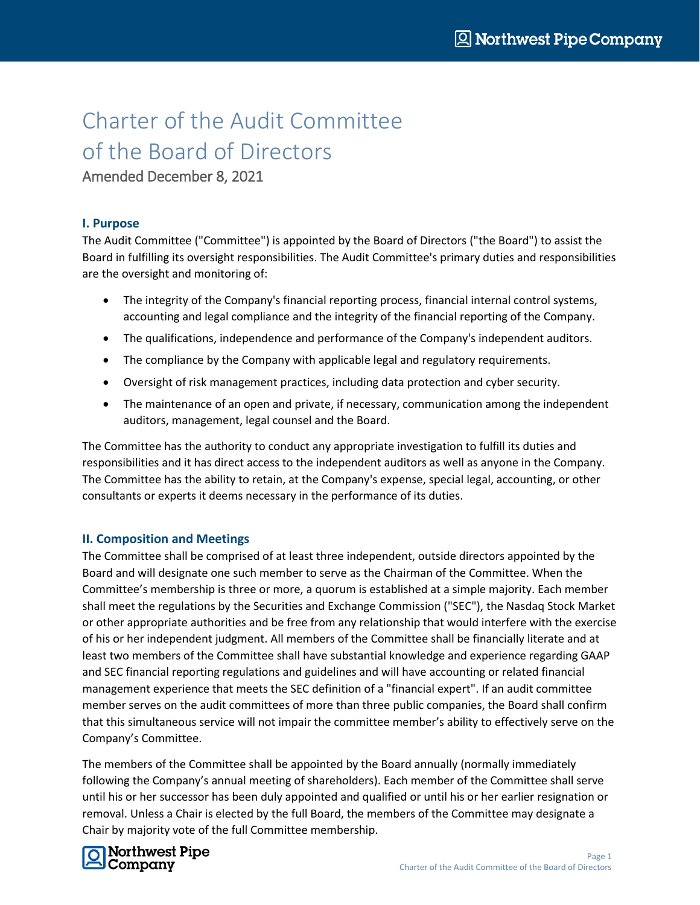# Charter of the Audit Committee of the Board of Directors

Amended December 8, 2021

## **I. Purpose**

The Audit Committee ("Committee") is appointed by the Board of Directors ("the Board") to assist the Board in fulfilling its oversight responsibilities. The Audit Committee's primary duties and responsibilities are the oversight and monitoring of:

- The integrity of the Company's financial reporting process, financial internal control systems, accounting and legal compliance and the integrity of the financial reporting of the Company.
- The qualifications, independence and performance of the Company's independent auditors.
- The compliance by the Company with applicable legal and regulatory requirements.
- Oversight of risk management practices, including data protection and cyber security.
- The maintenance of an open and private, if necessary, communication among the independent auditors, management, legal counsel and the Board.

The Committee has the authority to conduct any appropriate investigation to fulfill its duties and responsibilities and it has direct access to the independent auditors as well as anyone in the Company. The Committee has the ability to retain, at the Company's expense, special legal, accounting, or other consultants or experts it deems necessary in the performance of its duties.

## **II. Composition and Meetings**

The Committee shall be comprised of at least three independent, outside directors appointed by the Board and will designate one such member to serve as the Chairman of the Committee. When the Committee's membership is three or more, a quorum is established at a simple majority. Each member shall meet the regulations by the Securities and Exchange Commission ("SEC"), the Nasdaq Stock Market or other appropriate authorities and be free from any relationship that would interfere with the exercise of his or her independent judgment. All members of the Committee shall be financially literate and at least two members of the Committee shall have substantial knowledge and experience regarding GAAP and SEC financial reporting regulations and guidelines and will have accounting or related financial management experience that meets the SEC definition of a "financial expert". If an audit committee member serves on the audit committees of more than three public companies, the Board shall confirm that this simultaneous service will not impair the committee member's ability to effectively serve on the Company's Committee.

The members of the Committee shall be appointed by the Board annually (normally immediately following the Company's annual meeting of shareholders). Each member of the Committee shall serve until his or her successor has been duly appointed and qualified or until his or her earlier resignation or removal. Unless a Chair is elected by the full Board, the members of the Committee may designate a Chair by majority vote of the full Committee membership.

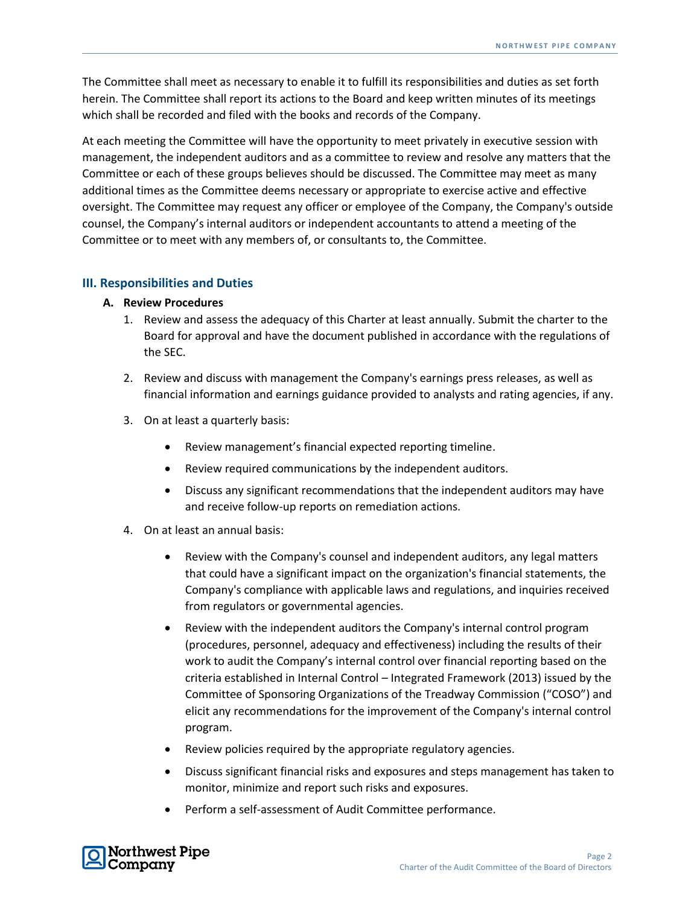The Committee shall meet as necessary to enable it to fulfill its responsibilities and duties as set forth herein. The Committee shall report its actions to the Board and keep written minutes of its meetings which shall be recorded and filed with the books and records of the Company.

At each meeting the Committee will have the opportunity to meet privately in executive session with management, the independent auditors and as a committee to review and resolve any matters that the Committee or each of these groups believes should be discussed. The Committee may meet as many additional times as the Committee deems necessary or appropriate to exercise active and effective oversight. The Committee may request any officer or employee of the Company, the Company's outside counsel, the Company's internal auditors or independent accountants to attend a meeting of the Committee or to meet with any members of, or consultants to, the Committee.

#### **III. Responsibilities and Duties**

#### **A. Review Procedures**

- 1. Review and assess the adequacy of this Charter at least annually. Submit the charter to the Board for approval and have the document published in accordance with the regulations of the SEC.
- 2. Review and discuss with management the Company's earnings press releases, as well as financial information and earnings guidance provided to analysts and rating agencies, if any.
- 3. On at least a quarterly basis:
	- Review management's financial expected reporting timeline.
	- Review required communications by the independent auditors.
	- Discuss any significant recommendations that the independent auditors may have and receive follow-up reports on remediation actions.
- 4. On at least an annual basis:
	- Review with the Company's counsel and independent auditors, any legal matters that could have a significant impact on the organization's financial statements, the Company's compliance with applicable laws and regulations, and inquiries received from regulators or governmental agencies.
	- Review with the independent auditors the Company's internal control program (procedures, personnel, adequacy and effectiveness) including the results of their work to audit the Company's internal control over financial reporting based on the criteria established in Internal Control – Integrated Framework (2013) issued by the Committee of Sponsoring Organizations of the Treadway Commission ("COSO") and elicit any recommendations for the improvement of the Company's internal control program.
	- Review policies required by the appropriate regulatory agencies.
	- Discuss significant financial risks and exposures and steps management has taken to monitor, minimize and report such risks and exposures.
	- Perform a self-assessment of Audit Committee performance.

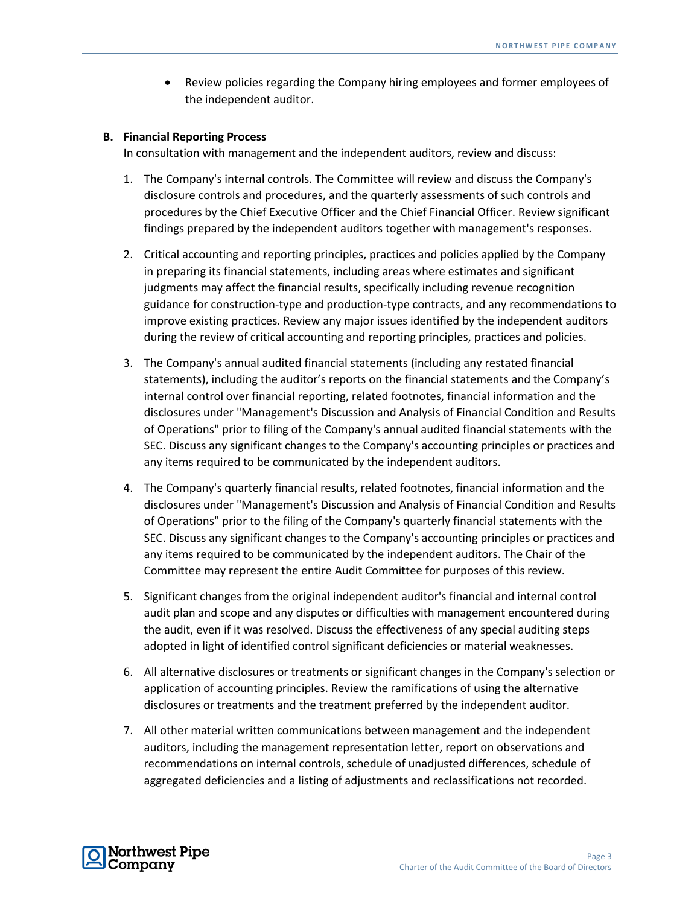Review policies regarding the Company hiring employees and former employees of the independent auditor.

#### **B. Financial Reporting Process**

In consultation with management and the independent auditors, review and discuss:

- 1. The Company's internal controls. The Committee will review and discuss the Company's disclosure controls and procedures, and the quarterly assessments of such controls and procedures by the Chief Executive Officer and the Chief Financial Officer. Review significant findings prepared by the independent auditors together with management's responses.
- 2. Critical accounting and reporting principles, practices and policies applied by the Company in preparing its financial statements, including areas where estimates and significant judgments may affect the financial results, specifically including revenue recognition guidance for construction-type and production-type contracts, and any recommendations to improve existing practices. Review any major issues identified by the independent auditors during the review of critical accounting and reporting principles, practices and policies.
- 3. The Company's annual audited financial statements (including any restated financial statements), including the auditor's reports on the financial statements and the Company's internal control over financial reporting, related footnotes, financial information and the disclosures under "Management's Discussion and Analysis of Financial Condition and Results of Operations" prior to filing of the Company's annual audited financial statements with the SEC. Discuss any significant changes to the Company's accounting principles or practices and any items required to be communicated by the independent auditors.
- 4. The Company's quarterly financial results, related footnotes, financial information and the disclosures under "Management's Discussion and Analysis of Financial Condition and Results of Operations" prior to the filing of the Company's quarterly financial statements with the SEC. Discuss any significant changes to the Company's accounting principles or practices and any items required to be communicated by the independent auditors. The Chair of the Committee may represent the entire Audit Committee for purposes of this review.
- 5. Significant changes from the original independent auditor's financial and internal control audit plan and scope and any disputes or difficulties with management encountered during the audit, even if it was resolved. Discuss the effectiveness of any special auditing steps adopted in light of identified control significant deficiencies or material weaknesses.
- 6. All alternative disclosures or treatments or significant changes in the Company's selection or application of accounting principles. Review the ramifications of using the alternative disclosures or treatments and the treatment preferred by the independent auditor.
- 7. All other material written communications between management and the independent auditors, including the management representation letter, report on observations and recommendations on internal controls, schedule of unadjusted differences, schedule of aggregated deficiencies and a listing of adjustments and reclassifications not recorded.

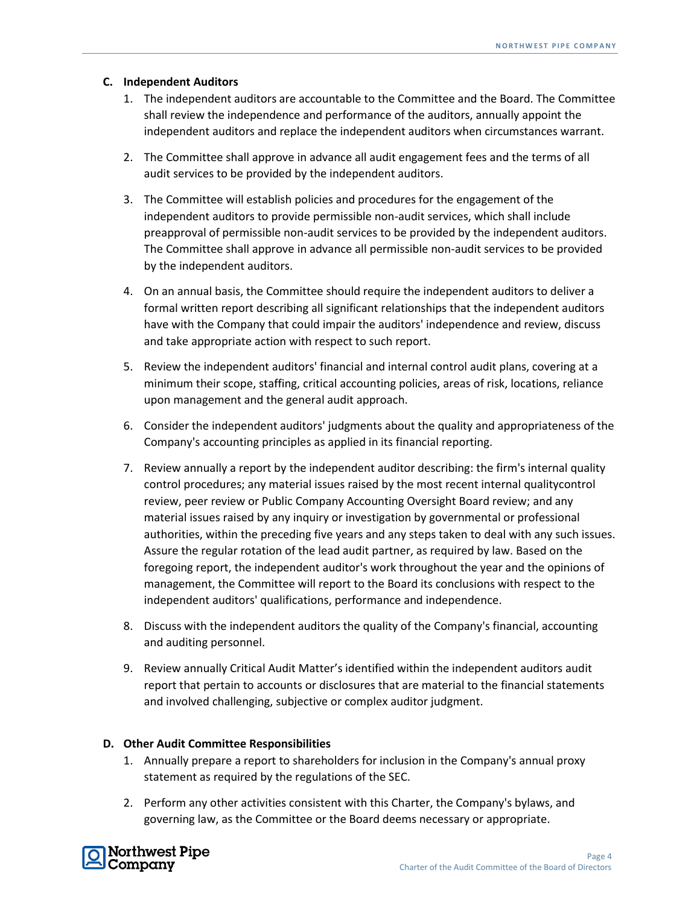#### **C. Independent Auditors**

- 1. The independent auditors are accountable to the Committee and the Board. The Committee shall review the independence and performance of the auditors, annually appoint the independent auditors and replace the independent auditors when circumstances warrant.
- 2. The Committee shall approve in advance all audit engagement fees and the terms of all audit services to be provided by the independent auditors.
- 3. The Committee will establish policies and procedures for the engagement of the independent auditors to provide permissible non-audit services, which shall include preapproval of permissible non-audit services to be provided by the independent auditors. The Committee shall approve in advance all permissible non-audit services to be provided by the independent auditors.
- 4. On an annual basis, the Committee should require the independent auditors to deliver a formal written report describing all significant relationships that the independent auditors have with the Company that could impair the auditors' independence and review, discuss and take appropriate action with respect to such report.
- 5. Review the independent auditors' financial and internal control audit plans, covering at a minimum their scope, staffing, critical accounting policies, areas of risk, locations, reliance upon management and the general audit approach.
- 6. Consider the independent auditors' judgments about the quality and appropriateness of the Company's accounting principles as applied in its financial reporting.
- 7. Review annually a report by the independent auditor describing: the firm's internal quality control procedures; any material issues raised by the most recent internal qualitycontrol review, peer review or Public Company Accounting Oversight Board review; and any material issues raised by any inquiry or investigation by governmental or professional authorities, within the preceding five years and any steps taken to deal with any such issues. Assure the regular rotation of the lead audit partner, as required by law. Based on the foregoing report, the independent auditor's work throughout the year and the opinions of management, the Committee will report to the Board its conclusions with respect to the independent auditors' qualifications, performance and independence.
- 8. Discuss with the independent auditors the quality of the Company's financial, accounting and auditing personnel.
- 9. Review annually Critical Audit Matter's identified within the independent auditors audit report that pertain to accounts or disclosures that are material to the financial statements and involved challenging, subjective or complex auditor judgment.

## **D. Other Audit Committee Responsibilities**

- 1. Annually prepare a report to shareholders for inclusion in the Company's annual proxy statement as required by the regulations of the SEC.
- 2. Perform any other activities consistent with this Charter, the Company's bylaws, and governing law, as the Committee or the Board deems necessary or appropriate.